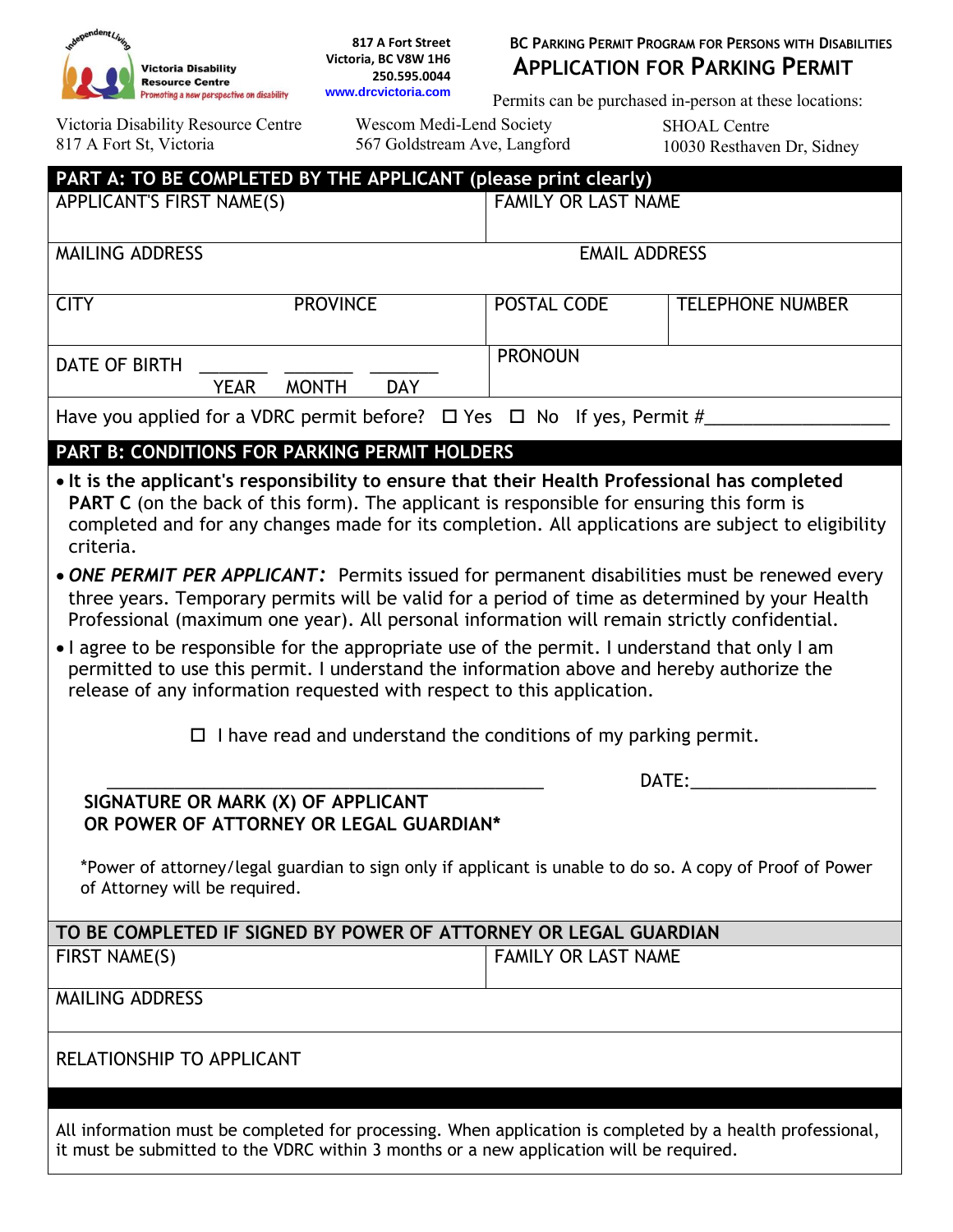

**817 A Fort Street Victoria, BC V8W 1H6 250.595.0044** 

## **BC PARKING PERMIT PROGRAM FOR PERSONS WITH DISABILITIES APPLICATION FOR PARKING PERMIT**

Permits can be purchased in-person at these locations:

Victoria Disability Resource Centre 817 A Fort St, Victoria

Wescom Medi-Lend Society 567 Goldstream Ave, Langford SHOAL Centre 10030 Resthaven Dr, Sidney

| PART A: TO BE COMPLETED BY THE APPLICANT (please print clearly)                                                                                                                                                                                                                                                                                                                                                                                                                                                                                                                                                                           |                                                                                                                                                                                                                                                                                                         |                            |                         |  |  |  |  |  |  |
|-------------------------------------------------------------------------------------------------------------------------------------------------------------------------------------------------------------------------------------------------------------------------------------------------------------------------------------------------------------------------------------------------------------------------------------------------------------------------------------------------------------------------------------------------------------------------------------------------------------------------------------------|---------------------------------------------------------------------------------------------------------------------------------------------------------------------------------------------------------------------------------------------------------------------------------------------------------|----------------------------|-------------------------|--|--|--|--|--|--|
| APPLICANT'S FIRST NAME(S)                                                                                                                                                                                                                                                                                                                                                                                                                                                                                                                                                                                                                 |                                                                                                                                                                                                                                                                                                         | <b>FAMILY OR LAST NAME</b> |                         |  |  |  |  |  |  |
| <b>MAILING ADDRESS</b>                                                                                                                                                                                                                                                                                                                                                                                                                                                                                                                                                                                                                    |                                                                                                                                                                                                                                                                                                         | <b>EMAIL ADDRESS</b>       |                         |  |  |  |  |  |  |
| <b>CITY</b>                                                                                                                                                                                                                                                                                                                                                                                                                                                                                                                                                                                                                               | <b>PROVINCE</b>                                                                                                                                                                                                                                                                                         | POSTAL CODE                | <b>TELEPHONE NUMBER</b> |  |  |  |  |  |  |
| <b>DATE OF BIRTH</b>                                                                                                                                                                                                                                                                                                                                                                                                                                                                                                                                                                                                                      | <b>MONTH</b><br><b>DAY</b><br><b>YEAR</b>                                                                                                                                                                                                                                                               | <b>PRONOUN</b>             |                         |  |  |  |  |  |  |
| Have you applied for a VDRC permit before? $\Box$ Yes $\Box$ No If yes, Permit #                                                                                                                                                                                                                                                                                                                                                                                                                                                                                                                                                          |                                                                                                                                                                                                                                                                                                         |                            |                         |  |  |  |  |  |  |
|                                                                                                                                                                                                                                                                                                                                                                                                                                                                                                                                                                                                                                           | <b>PART B: CONDITIONS FOR PARKING PERMIT HOLDERS</b>                                                                                                                                                                                                                                                    |                            |                         |  |  |  |  |  |  |
| criteria.                                                                                                                                                                                                                                                                                                                                                                                                                                                                                                                                                                                                                                 | • It is the applicant's responsibility to ensure that their Health Professional has completed<br><b>PART C</b> (on the back of this form). The applicant is responsible for ensuring this form is<br>completed and for any changes made for its completion. All applications are subject to eligibility |                            |                         |  |  |  |  |  |  |
| • ONE PERMIT PER APPLICANT: Permits issued for permanent disabilities must be renewed every<br>three years. Temporary permits will be valid for a period of time as determined by your Health<br>Professional (maximum one year). All personal information will remain strictly confidential.<br>• I agree to be responsible for the appropriate use of the permit. I understand that only I am<br>permitted to use this permit. I understand the information above and hereby authorize the<br>release of any information requested with respect to this application.<br>I have read and understand the conditions of my parking permit. |                                                                                                                                                                                                                                                                                                         |                            |                         |  |  |  |  |  |  |
|                                                                                                                                                                                                                                                                                                                                                                                                                                                                                                                                                                                                                                           | DATE:                                                                                                                                                                                                                                                                                                   |                            |                         |  |  |  |  |  |  |
|                                                                                                                                                                                                                                                                                                                                                                                                                                                                                                                                                                                                                                           | SIGNATURE OR MARK (X) OF APPLICANT<br>OR POWER OF ATTORNEY OR LEGAL GUARDIAN*                                                                                                                                                                                                                           |                            |                         |  |  |  |  |  |  |
| *Power of attorney/legal guardian to sign only if applicant is unable to do so. A copy of Proof of Power<br>of Attorney will be required.                                                                                                                                                                                                                                                                                                                                                                                                                                                                                                 |                                                                                                                                                                                                                                                                                                         |                            |                         |  |  |  |  |  |  |
|                                                                                                                                                                                                                                                                                                                                                                                                                                                                                                                                                                                                                                           | TO BE COMPLETED IF SIGNED BY POWER OF ATTORNEY OR LEGAL GUARDIAN                                                                                                                                                                                                                                        |                            |                         |  |  |  |  |  |  |
| FIRST NAME(S)                                                                                                                                                                                                                                                                                                                                                                                                                                                                                                                                                                                                                             |                                                                                                                                                                                                                                                                                                         | <b>FAMILY OR LAST NAME</b> |                         |  |  |  |  |  |  |
| <b>MAILING ADDRESS</b>                                                                                                                                                                                                                                                                                                                                                                                                                                                                                                                                                                                                                    |                                                                                                                                                                                                                                                                                                         |                            |                         |  |  |  |  |  |  |
| RELATIONSHIP TO APPLICANT                                                                                                                                                                                                                                                                                                                                                                                                                                                                                                                                                                                                                 |                                                                                                                                                                                                                                                                                                         |                            |                         |  |  |  |  |  |  |
| All information must be completed for processing. When application is completed by a health professional,<br>it must be submitted to the VDRC within 3 months or a new application will be required.                                                                                                                                                                                                                                                                                                                                                                                                                                      |                                                                                                                                                                                                                                                                                                         |                            |                         |  |  |  |  |  |  |